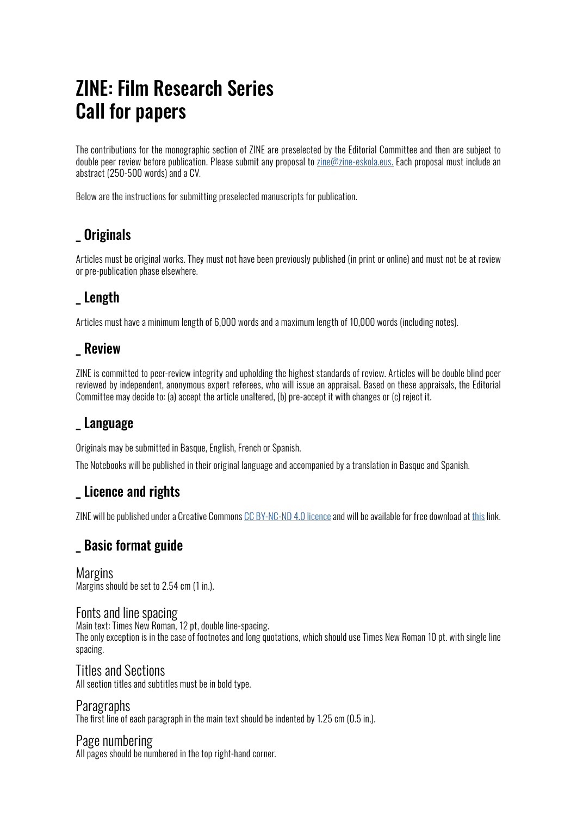# ZINE: Film Research Series Call for papers

The contributions for the monographic section of ZINE are preselected by the Editorial Committee and then are subject to double peer review before publication. Please submit any proposal to [zine@zine-eskola.eus.](zine@zine-eskola.eus) Each proposal must include an abstract (250-500 words) and a CV.

Below are the instructions for submitting preselected manuscripts for publication.

# **Originals**

Articles must be original works. They must not have been previously published (in print or online) and must not be at review or pre-publication phase elsewhere.

# \_ Length

Articles must have a minimum length of 6,000 words and a maximum length of 10,000 words (including notes).

# **Review**

ZINE is committed to peer-review integrity and upholding the highest standards of review. Articles will be double blind peer reviewed by independent, anonymous expert referees, who will issue an appraisal. Based on these appraisals, the Editorial Committee may decide to: (a) accept the article unaltered, (b) pre-accept it with changes or (c) reject it.

# Language

Originals may be submitted in Basque, English, French or Spanish.

The Notebooks will be published in their original language and accompanied by a translation in Basque and Spanish.

# \_ Licence and rights

ZINE will be published under a Creative Commons [CC BY-NC-ND 4.0 licence](https://creativecommons.org/licenses/by-nc-nd/4.0/) and will be available for free download at [this](http://zine-eskola.eus/en/departments-studies/zine-research-notebooks-film) link.

### \_ Basic format guide

Margins Margins should be set to 2.54 cm (1 in.).

#### Fonts and line spacing

Main text: Times New Roman, 12 pt, double line-spacing. The only exception is in the case of footnotes and long quotations, which should use Times New Roman 10 pt. with single line spacing.

Titles and Sections All section titles and subtitles must be in bold type.

Paragraphs The first line of each paragraph in the main text should be indented by 1.25 cm (0.5 in.).

#### Page numbering

All pages should be numbered in the top right-hand corner.